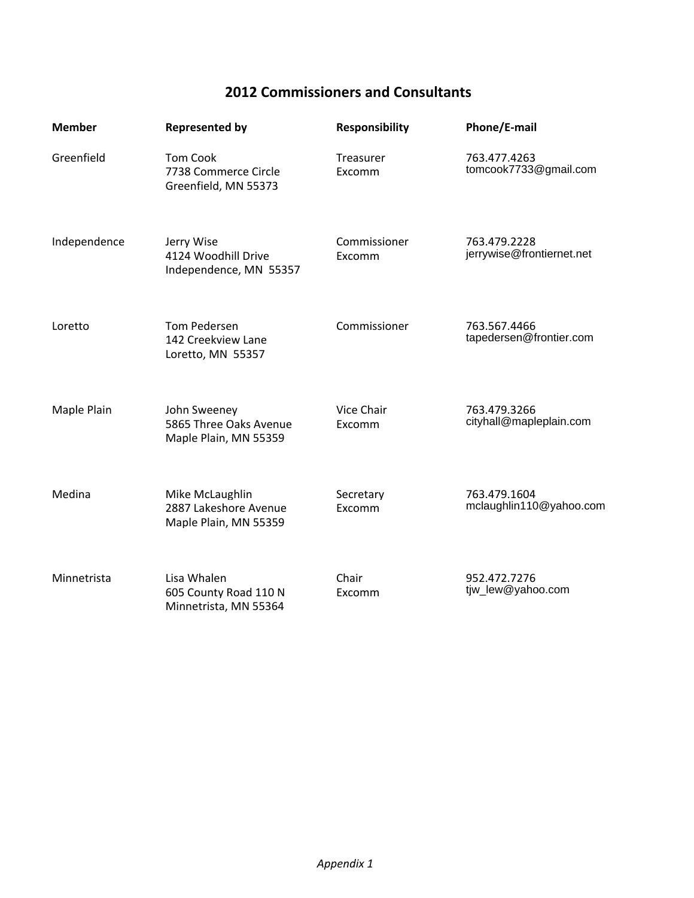## **2012 Commissioners and Consultants**

| <b>Member</b> | <b>Represented by</b>                                             | <b>Responsibility</b>  | Phone/E-mail                              |
|---------------|-------------------------------------------------------------------|------------------------|-------------------------------------------|
| Greenfield    | Tom Cook<br>7738 Commerce Circle<br>Greenfield, MN 55373          | Treasurer<br>Excomm    | 763.477.4263<br>tomcook7733@gmail.com     |
| Independence  | Jerry Wise<br>4124 Woodhill Drive<br>Independence, MN 55357       | Commissioner<br>Excomm | 763.479.2228<br>jerrywise@frontiernet.net |
| Loretto       | Tom Pedersen<br>142 Creekview Lane<br>Loretto, MN 55357           | Commissioner           | 763.567.4466<br>tapedersen@frontier.com   |
| Maple Plain   | John Sweeney<br>5865 Three Oaks Avenue<br>Maple Plain, MN 55359   | Vice Chair<br>Excomm   | 763.479.3266<br>cityhall@mapleplain.com   |
| Medina        | Mike McLaughlin<br>2887 Lakeshore Avenue<br>Maple Plain, MN 55359 | Secretary<br>Excomm    | 763.479.1604<br>mclaughlin110@yahoo.com   |
| Minnetrista   | Lisa Whalen<br>605 County Road 110 N<br>Minnetrista, MN 55364     | Chair<br>Excomm        | 952.472.7276<br>tjw_lew@yahoo.com         |